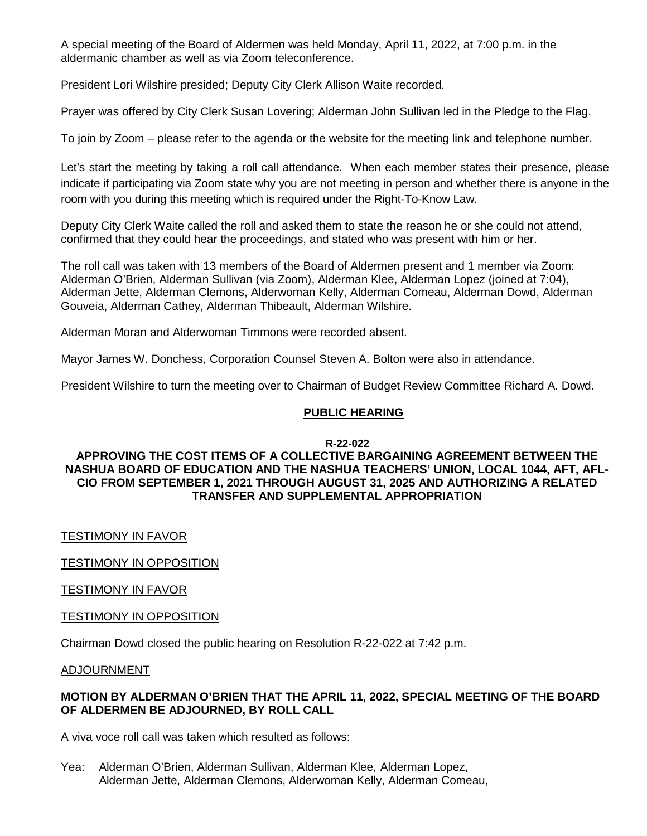A special meeting of the Board of Aldermen was held Monday, April 11, 2022, at 7:00 p.m. in the aldermanic chamber as well as via Zoom teleconference.

President Lori Wilshire presided; Deputy City Clerk Allison Waite recorded.

Prayer was offered by City Clerk Susan Lovering; Alderman John Sullivan led in the Pledge to the Flag.

To join by Zoom – please refer to the agenda or the website for the meeting link and telephone number.

Let's start the meeting by taking a roll call attendance. When each member states their presence, please indicate if participating via Zoom state why you are not meeting in person and whether there is anyone in the room with you during this meeting which is required under the Right-To-Know Law.

Deputy City Clerk Waite called the roll and asked them to state the reason he or she could not attend, confirmed that they could hear the proceedings, and stated who was present with him or her.

The roll call was taken with 13 members of the Board of Aldermen present and 1 member via Zoom: Alderman O'Brien, Alderman Sullivan (via Zoom), Alderman Klee, Alderman Lopez (joined at 7:04), Alderman Jette, Alderman Clemons, Alderwoman Kelly, Alderman Comeau, Alderman Dowd, Alderman Gouveia, Alderman Cathey, Alderman Thibeault, Alderman Wilshire.

Alderman Moran and Alderwoman Timmons were recorded absent.

Mayor James W. Donchess, Corporation Counsel Steven A. Bolton were also in attendance.

President Wilshire to turn the meeting over to Chairman of Budget Review Committee Richard A. Dowd.

#### **PUBLIC HEARING**

#### **R-22-022**

### **APPROVING THE COST ITEMS OF A COLLECTIVE BARGAINING AGREEMENT BETWEEN THE NASHUA BOARD OF EDUCATION AND THE NASHUA TEACHERS' UNION, LOCAL 1044, AFT, AFL-CIO FROM SEPTEMBER 1, 2021 THROUGH AUGUST 31, 2025 AND AUTHORIZING A RELATED TRANSFER AND SUPPLEMENTAL APPROPRIATION**

## TESTIMONY IN FAVOR

TESTIMONY IN OPPOSITION

TESTIMONY IN FAVOR

## TESTIMONY IN OPPOSITION

Chairman Dowd closed the public hearing on Resolution R-22-022 at 7:42 p.m.

ADJOURNMENT

#### **MOTION BY ALDERMAN O'BRIEN THAT THE APRIL 11, 2022, SPECIAL MEETING OF THE BOARD OF ALDERMEN BE ADJOURNED, BY ROLL CALL**

A viva voce roll call was taken which resulted as follows:

Yea: Alderman O'Brien, Alderman Sullivan, Alderman Klee, Alderman Lopez, Alderman Jette, Alderman Clemons, Alderwoman Kelly, Alderman Comeau,